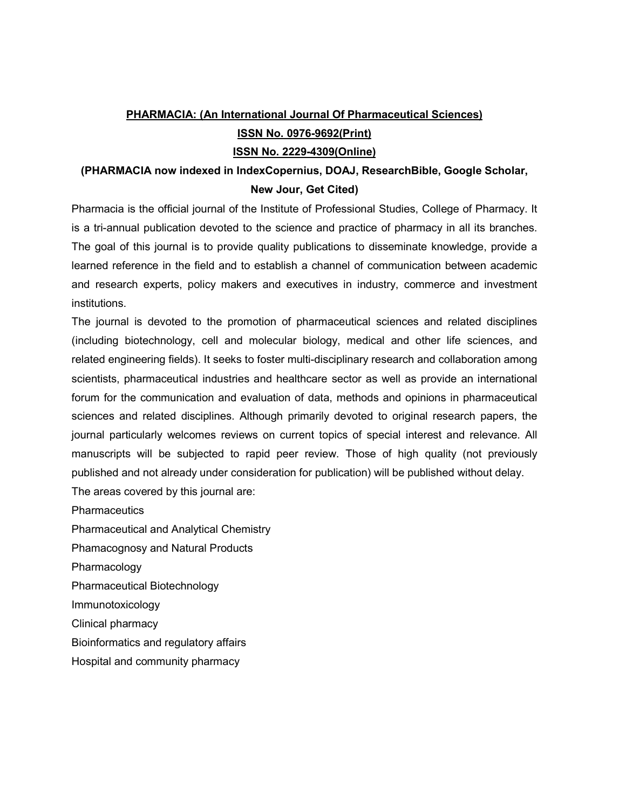# **PHARMACIA: (An International Journal Of Pharmaceutical Sciences) ISSN No. 0976-9692(Print) ISSN No. 2229-4309(Online)**

# **(PHARMACIA now indexed in IndexCopernius, DOAJ, ResearchBible, Google Scholar, New Jour, Get Cited)**

Pharmacia is the official journal of the Institute of Professional Studies, College of Pharmacy. It is a tri-annual publication devoted to the science and practice of pharmacy in all its branches. The goal of this journal is to provide quality publications to disseminate knowledge, provide a learned reference in the field and to establish a channel of communication between academic and research experts, policy makers and executives in industry, commerce and investment institutions.

The journal is devoted to the promotion of pharmaceutical sciences and related disciplines (including biotechnology, cell and molecular biology, medical and other life sciences, and related engineering fields). It seeks to foster multi-disciplinary research and collaboration among scientists, pharmaceutical industries and healthcare sector as well as provide an international forum for the communication and evaluation of data, methods and opinions in pharmaceutical sciences and related disciplines. Although primarily devoted to original research papers, the journal particularly welcomes reviews on current topics of special interest and relevance. All manuscripts will be subjected to rapid peer review. Those of high quality (not previously published and not already under consideration for publication) will be published without delay.

The areas covered by this journal are:

**Pharmaceutics** 

Pharmaceutical and Analytical Chemistry

Phamacognosy and Natural Products

Pharmacology

Pharmaceutical Biotechnology

Immunotoxicology

Clinical pharmacy

Bioinformatics and regulatory affairs

Hospital and community pharmacy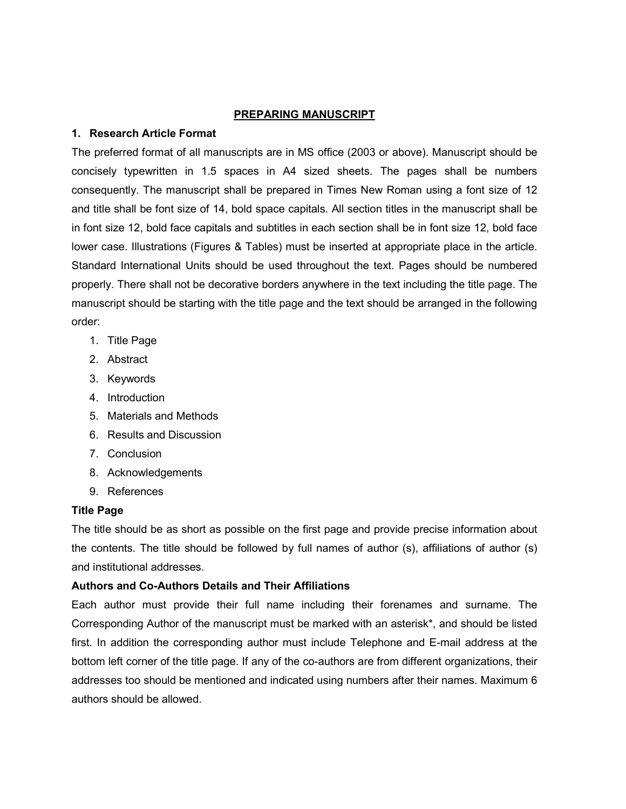#### **PREPARING MANUSCRIPT**

## **1. Research Article Format**

The preferred format of all manuscripts are in MS office (2003 or above). Manuscript should be concisely typewritten in 1.5 spaces in A4 sized sheets. The pages shall be numbers consequently. The manuscript shall be prepared in Times New Roman using a font size of 12 and title shall be font size of 14, bold space capitals. All section titles in the manuscript shall be in font size 12, bold face capitals and subtitles in each section shall be in font size 12, bold face lower case. Illustrations (Figures & Tables) must be inserted at appropriate place in the article. Standard International Units should be used throughout the text. Pages should be numbered properly. There shall not be decorative borders anywhere in the text including the title page. The manuscript should be starting with the title page and the text should be arranged in the following order:

- 1. Title Page
- 2. Abstract
- 3. Keywords
- 4. Introduction
- 5. Materials and Methods
- 6. Results and Discussion
- 7. Conclusion
- 8. Acknowledgements
- 9. References

## **Title Page**

The title should be as short as possible on the first page and provide precise information about the contents. The title should be followed by full names of author (s), affiliations of author (s) and institutional addresses.

## **Authors and Co-Authors Details and Their Affiliations**

Each author must provide their full name including their forenames and surname. The Corresponding Author of the manuscript must be marked with an asterisk\*, and should be listed first. In addition the corresponding author must include Telephone and E-mail address at the bottom left corner of the title page. If any of the co-authors are from different organizations, their addresses too should be mentioned and indicated using numbers after their names. Maximum 6 authors should be allowed.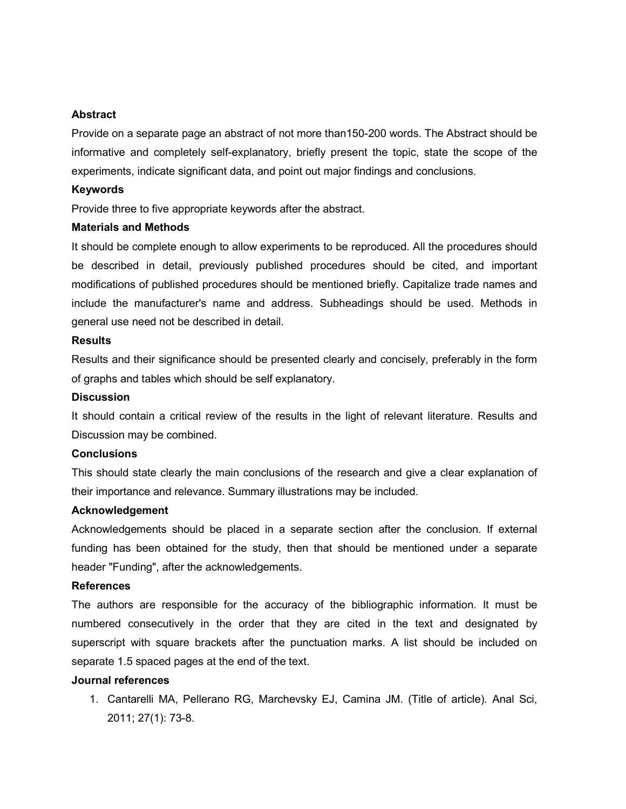#### **Abstract**

Provide on a separate page an abstract of not more than150-200 words. The Abstract should be informative and completely self-explanatory, briefly present the topic, state the scope of the experiments, indicate significant data, and point out major findings and conclusions.

#### **Keywords**

Provide three to five appropriate keywords after the abstract.

#### **Materials and Methods**

It should be complete enough to allow experiments to be reproduced. All the procedures should be described in detail, previously published procedures should be cited, and important modifications of published procedures should be mentioned briefly. Capitalize trade names and include the manufacturer's name and address. Subheadings should be used. Methods in general use need not be described in detail.

#### **Results**

Results and their significance should be presented clearly and concisely, preferably in the form of graphs and tables which should be self explanatory.

#### **Discussion**

It should contain a critical review of the results in the light of relevant literature. Results and Discussion may be combined.

#### **Conclusions**

This should state clearly the main conclusions of the research and give a clear explanation of their importance and relevance. Summary illustrations may be included.

#### **Acknowledgement**

Acknowledgements should be placed in a separate section after the conclusion. If external funding has been obtained for the study, then that should be mentioned under a separate header "Funding", after the acknowledgements.

#### **References**

The authors are responsible for the accuracy of the bibliographic information. It must be numbered consecutively in the order that they are cited in the text and designated by superscript with square brackets after the punctuation marks. A list should be included on separate 1.5 spaced pages at the end of the text.

### **Journal references**

1. Cantarelli MA, Pellerano RG, Marchevsky EJ, Camina JM. (Title of article). Anal Sci, 2011; 27(1): 73-8.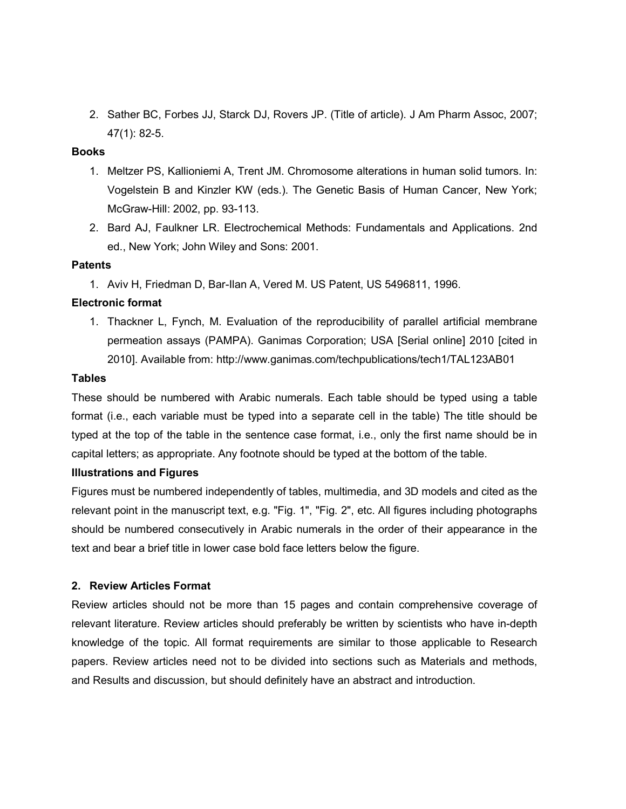2. Sather BC, Forbes JJ, Starck DJ, Rovers JP. (Title of article). J Am Pharm Assoc, 2007; 47(1): 82-5.

## **Books**

- 1. Meltzer PS, Kallioniemi A, Trent JM. Chromosome alterations in human solid tumors. In: Vogelstein B and Kinzler KW (eds.). The Genetic Basis of Human Cancer, New York; McGraw-Hill: 2002, pp. 93-113.
- 2. Bard AJ, Faulkner LR. Electrochemical Methods: Fundamentals and Applications. 2nd ed., New York; John Wiley and Sons: 2001.

#### **Patents**

1. Aviv H, Friedman D, Bar-Ilan A, Vered M. US Patent, US 5496811, 1996.

### **Electronic format**

1. Thackner L, Fynch, M. Evaluation of the reproducibility of parallel artificial membrane permeation assays (PAMPA). Ganimas Corporation; USA [Serial online] 2010 [cited in 2010]. Available from: http://www.ganimas.com/techpublications/tech1/TAL123AB01

#### **Tables**

These should be numbered with Arabic numerals. Each table should be typed using a table format (i.e., each variable must be typed into a separate cell in the table) The title should be typed at the top of the table in the sentence case format, i.e., only the first name should be in capital letters; as appropriate. Any footnote should be typed at the bottom of the table.

## **Illustrations and Figures**

Figures must be numbered independently of tables, multimedia, and 3D models and cited as the relevant point in the manuscript text, e.g. "Fig. 1", "Fig. 2", etc. All figures including photographs should be numbered consecutively in Arabic numerals in the order of their appearance in the text and bear a brief title in lower case bold face letters below the figure.

#### **2. Review Articles Format**

Review articles should not be more than 15 pages and contain comprehensive coverage of relevant literature. Review articles should preferably be written by scientists who have in-depth knowledge of the topic. All format requirements are similar to those applicable to Research papers. Review articles need not to be divided into sections such as Materials and methods, and Results and discussion, but should definitely have an abstract and introduction.